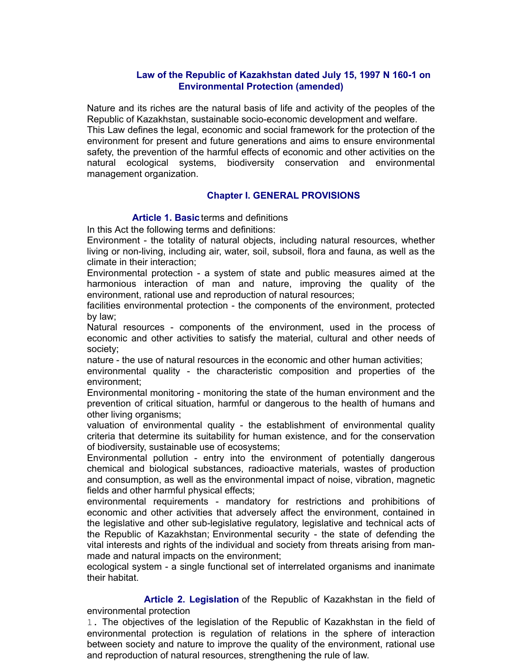# **Law of the Republic of Kazakhstan dated July 15, 1997 N 160-1 on Environmental Protection (amended)**

Nature and its riches are the natural basis of life and activity of the peoples of the Republic of Kazakhstan, sustainable socio-economic development and welfare. This Law defines the legal, economic and social framework for the protection of the environment for present and future generations and aims to ensure environmental safety, the prevention of the harmful effects of economic and other activities on the natural ecological systems, biodiversity conservation and environmental management organization.

# **Chapter I. GENERAL PROVISIONS**

**Article 1. Basic**terms and definitions

In this Act the following terms and definitions:

Environment - the totality of natural objects, including natural resources, whether living or non-living, including air, water, soil, subsoil, flora and fauna, as well as the climate in their interaction;

Environmental protection - a system of state and public measures aimed at the harmonious interaction of man and nature, improving the quality of the environment, rational use and reproduction of natural resources;

facilities environmental protection - the components of the environment, protected by law;

Natural resources - components of the environment, used in the process of economic and other activities to satisfy the material, cultural and other needs of society;

nature - the use of natural resources in the economic and other human activities;

environmental quality - the characteristic composition and properties of the environment;

Environmental monitoring - monitoring the state of the human environment and the prevention of critical situation, harmful or dangerous to the health of humans and other living organisms;

valuation of environmental quality - the establishment of environmental quality criteria that determine its suitability for human existence, and for the conservation of biodiversity, sustainable use of ecosystems;

Environmental pollution - entry into the environment of potentially dangerous chemical and biological substances, radioactive materials, wastes of production and consumption, as well as the environmental impact of noise, vibration, magnetic fields and other harmful physical effects;

environmental requirements - mandatory for restrictions and prohibitions of economic and other activities that adversely affect the environment, contained in the legislative and other sub-legislative regulatory, legislative and technical acts of the Republic of Kazakhstan; Environmental security - the state of defending the vital interests and rights of the individual and society from threats arising from manmade and natural impacts on the environment;

ecological system - a single functional set of interrelated organisms and inanimate their habitat.

 **Article 2. Legislation** of the Republic of Kazakhstan in the field of environmental protection

1. The objectives of the legislation of the Republic of Kazakhstan in the field of environmental protection is regulation of relations in the sphere of interaction between society and nature to improve the quality of the environment, rational use and reproduction of natural resources, strengthening the rule of law.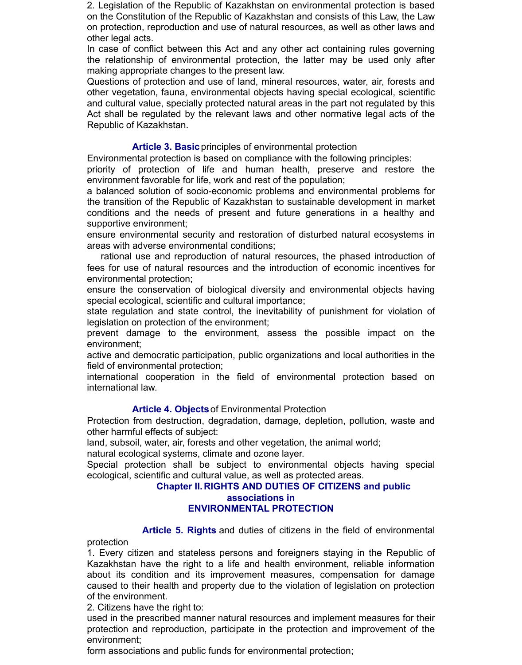2. Legislation of the Republic of Kazakhstan on environmental protection is based on the Constitution of the Republic of Kazakhstan and consists of this Law, the Law on protection, reproduction and use of natural resources, as well as other laws and other legal acts.

In case of conflict between this Act and any other act containing rules governing the relationship of environmental protection, the latter may be used only after making appropriate changes to the present law.

Questions of protection and use of land, mineral resources, water, air, forests and other vegetation, fauna, environmental objects having special ecological, scientific and cultural value, specially protected natural areas in the part not regulated by this Act shall be regulated by the relevant laws and other normative legal acts of the Republic of Kazakhstan.

# **Article 3. Basic**principles of environmental protection

Environmental protection is based on compliance with the following principles:

priority of protection of life and human health, preserve and restore the environment favorable for life, work and rest of the population;

a balanced solution of socio-economic problems and environmental problems for the transition of the Republic of Kazakhstan to sustainable development in market conditions and the needs of present and future generations in a healthy and supportive environment;

ensure environmental security and restoration of disturbed natural ecosystems in areas with adverse environmental conditions;

 rational use and reproduction of natural resources, the phased introduction of fees for use of natural resources and the introduction of economic incentives for environmental protection;

ensure the conservation of biological diversity and environmental objects having special ecological, scientific and cultural importance;

state regulation and state control, the inevitability of punishment for violation of legislation on protection of the environment;

prevent damage to the environment, assess the possible impact on the environment;

active and democratic participation, public organizations and local authorities in the field of environmental protection;

international cooperation in the field of environmental protection based on international law.

# **Article 4. Objects**of Environmental Protection

Protection from destruction, degradation, damage, depletion, pollution, waste and other harmful effects of subject:

land, subsoil, water, air, forests and other vegetation, the animal world;

natural ecological systems, climate and ozone layer.

Special protection shall be subject to environmental objects having special ecological, scientific and cultural value, as well as protected areas.

# **Chapter II.RIGHTS AND DUTIES OF CITIZENS and public**

# **associations in**

# **ENVIRONMENTAL PROTECTION**

 **Article 5. Rights** and duties of citizens in the field of environmental protection

1. Every citizen and stateless persons and foreigners staying in the Republic of Kazakhstan have the right to a life and health environment, reliable information about its condition and its improvement measures, compensation for damage caused to their health and property due to the violation of legislation on protection of the environment.

2. Citizens have the right to:

used in the prescribed manner natural resources and implement measures for their protection and reproduction, participate in the protection and improvement of the environment;

form associations and public funds for environmental protection;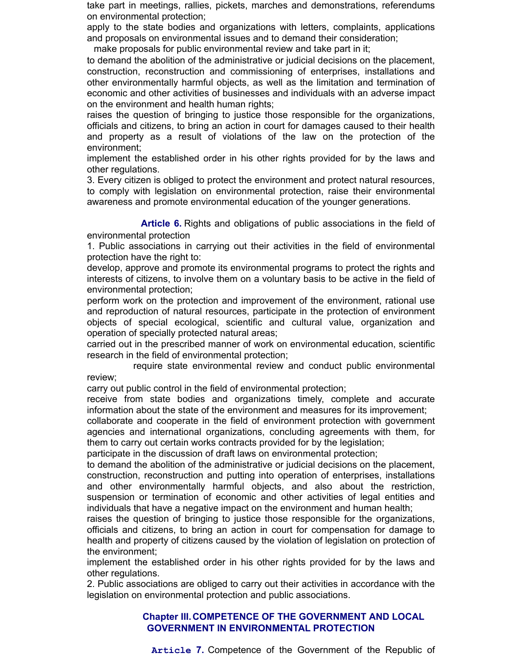take part in meetings, rallies, pickets, marches and demonstrations, referendums on environmental protection;

apply to the state bodies and organizations with letters, complaints, applications and proposals on environmental issues and to demand their consideration;

make proposals for public environmental review and take part in it;

to demand the abolition of the administrative or judicial decisions on the placement, construction, reconstruction and commissioning of enterprises, installations and other environmentally harmful objects, as well as the limitation and termination of economic and other activities of businesses and individuals with an adverse impact on the environment and health human rights;

raises the question of bringing to justice those responsible for the organizations, officials and citizens, to bring an action in court for damages caused to their health and property as a result of violations of the law on the protection of the environment;

implement the established order in his other rights provided for by the laws and other regulations.

3. Every citizen is obliged to protect the environment and protect natural resources, to comply with legislation on environmental protection, raise their environmental awareness and promote environmental education of the younger generations.

 **Article 6.** Rights and obligations of public associations in the field of environmental protection

1. Public associations in carrying out their activities in the field of environmental protection have the right to:

develop, approve and promote its environmental programs to protect the rights and interests of citizens, to involve them on a voluntary basis to be active in the field of environmental protection;

perform work on the protection and improvement of the environment, rational use and reproduction of natural resources, participate in the protection of environment objects of special ecological, scientific and cultural value, organization and operation of specially protected natural areas;

carried out in the prescribed manner of work on environmental education, scientific research in the field of environmental protection;

 require state environmental review and conduct public environmental review;

carry out public control in the field of environmental protection;

receive from state bodies and organizations timely, complete and accurate information about the state of the environment and measures for its improvement;

collaborate and cooperate in the field of environment protection with government agencies and international organizations, concluding agreements with them, for them to carry out certain works contracts provided for by the legislation;

participate in the discussion of draft laws on environmental protection;

to demand the abolition of the administrative or judicial decisions on the placement, construction, reconstruction and putting into operation of enterprises, installations and other environmentally harmful objects, and also about the restriction, suspension or termination of economic and other activities of legal entities and individuals that have a negative impact on the environment and human health;

raises the question of bringing to justice those responsible for the organizations, officials and citizens, to bring an action in court for compensation for damage to health and property of citizens caused by the violation of legislation on protection of the environment;

implement the established order in his other rights provided for by the laws and other regulations.

2. Public associations are obliged to carry out their activities in accordance with the legislation on environmental protection and public associations.

# **Chapter III.COMPETENCE OF THE GOVERNMENT AND LOCAL GOVERNMENT IN ENVIRONMENTAL PROTECTION**

**Article 7.** Competence of the Government of the Republic of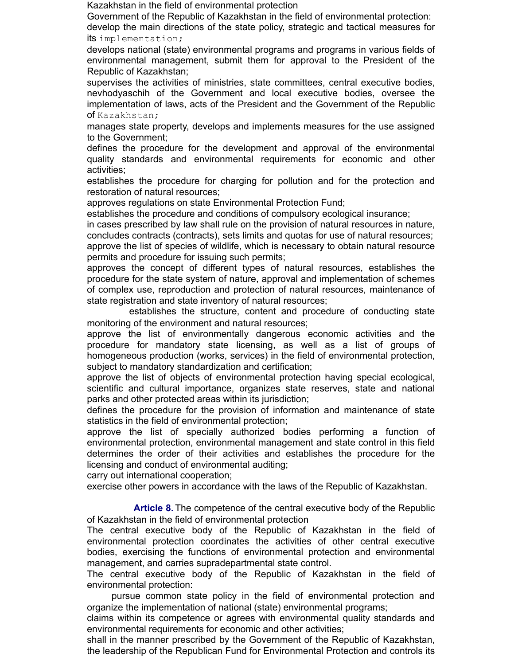Kazakhstan in the field of environmental protection

Government of the Republic of Kazakhstan in the field of environmental protection:

develop the main directions of the state policy, strategic and tactical measures for its implementation;

develops national (state) environmental programs and programs in various fields of environmental management, submit them for approval to the President of the Republic of Kazakhstan;

supervises the activities of ministries, state committees, central executive bodies, nevhodyaschih of the Government and local executive bodies, oversee the implementation of laws, acts of the President and the Government of the Republic of Kazakhstan;

manages state property, develops and implements measures for the use assigned to the Government;

defines the procedure for the development and approval of the environmental quality standards and environmental requirements for economic and other activities;

establishes the procedure for charging for pollution and for the protection and restoration of natural resources;

approves regulations on state Environmental Protection Fund;

establishes the procedure and conditions of compulsory ecological insurance;

in cases prescribed by law shall rule on the provision of natural resources in nature, concludes contracts (contracts), sets limits and quotas for use of natural resources; approve the list of species of wildlife, which is necessary to obtain natural resource permits and procedure for issuing such permits;

approves the concept of different types of natural resources, establishes the procedure for the state system of nature, approval and implementation of schemes of complex use, reproduction and protection of natural resources, maintenance of state registration and state inventory of natural resources;

 establishes the structure, content and procedure of conducting state monitoring of the environment and natural resources;

approve the list of environmentally dangerous economic activities and the procedure for mandatory state licensing, as well as a list of groups of homogeneous production (works, services) in the field of environmental protection, subject to mandatory standardization and certification;

approve the list of objects of environmental protection having special ecological, scientific and cultural importance, organizes state reserves, state and national parks and other protected areas within its jurisdiction;

defines the procedure for the provision of information and maintenance of state statistics in the field of environmental protection;

approve the list of specially authorized bodies performing a function of environmental protection, environmental management and state control in this field determines the order of their activities and establishes the procedure for the licensing and conduct of environmental auditing;

carry out international cooperation;

exercise other powers in accordance with the laws of the Republic of Kazakhstan.

 **Article 8.** The competence of the central executive body of the Republic of Kazakhstan in the field of environmental protection

The central executive body of the Republic of Kazakhstan in the field of environmental protection coordinates the activities of other central executive bodies, exercising the functions of environmental protection and environmental management, and carries supradepartmental state control.

The central executive body of the Republic of Kazakhstan in the field of environmental protection:

 pursue common state policy in the field of environmental protection and organize the implementation of national (state) environmental programs;

claims within its competence or agrees with environmental quality standards and environmental requirements for economic and other activities;

shall in the manner prescribed by the Government of the Republic of Kazakhstan, the leadership of the Republican Fund for Environmental Protection and controls its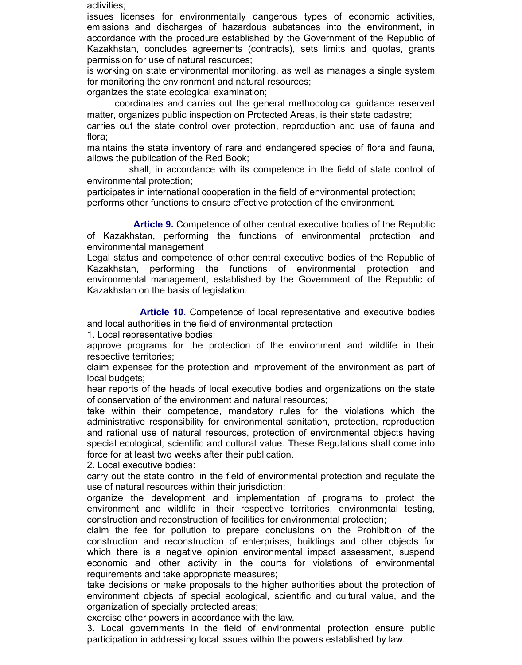activities;

issues licenses for environmentally dangerous types of economic activities, emissions and discharges of hazardous substances into the environment, in accordance with the procedure established by the Government of the Republic of Kazakhstan, concludes agreements (contracts), sets limits and quotas, grants permission for use of natural resources;

is working on state environmental monitoring, as well as manages a single system for monitoring the environment and natural resources;

organizes the state ecological examination;

 coordinates and carries out the general methodological guidance reserved matter, organizes public inspection on Protected Areas, is their state cadastre;

carries out the state control over protection, reproduction and use of fauna and flora;

maintains the state inventory of rare and endangered species of flora and fauna, allows the publication of the Red Book;

 shall, in accordance with its competence in the field of state control of environmental protection;

participates in international cooperation in the field of environmental protection; performs other functions to ensure effective protection of the environment.

 **Article 9.** Competence of other central executive bodies of the Republic of Kazakhstan, performing the functions of environmental protection and environmental management

Legal status and competence of other central executive bodies of the Republic of Kazakhstan, performing the functions of environmental protection and environmental management, established by the Government of the Republic of Kazakhstan on the basis of legislation.

 **Article 10.** Competence of local representative and executive bodies and local authorities in the field of environmental protection

1. Local representative bodies:

approve programs for the protection of the environment and wildlife in their respective territories;

claim expenses for the protection and improvement of the environment as part of local budgets;

hear reports of the heads of local executive bodies and organizations on the state of conservation of the environment and natural resources;

take within their competence, mandatory rules for the violations which the administrative responsibility for environmental sanitation, protection, reproduction and rational use of natural resources, protection of environmental objects having special ecological, scientific and cultural value. These Regulations shall come into force for at least two weeks after their publication.

2. Local executive bodies:

carry out the state control in the field of environmental protection and regulate the use of natural resources within their jurisdiction;

organize the development and implementation of programs to protect the environment and wildlife in their respective territories, environmental testing, construction and reconstruction of facilities for environmental protection;

claim the fee for pollution to prepare conclusions on the Prohibition of the construction and reconstruction of enterprises, buildings and other objects for which there is a negative opinion environmental impact assessment, suspend economic and other activity in the courts for violations of environmental requirements and take appropriate measures;

take decisions or make proposals to the higher authorities about the protection of environment objects of special ecological, scientific and cultural value, and the organization of specially protected areas;

exercise other powers in accordance with the law.

3. Local governments in the field of environmental protection ensure public participation in addressing local issues within the powers established by law.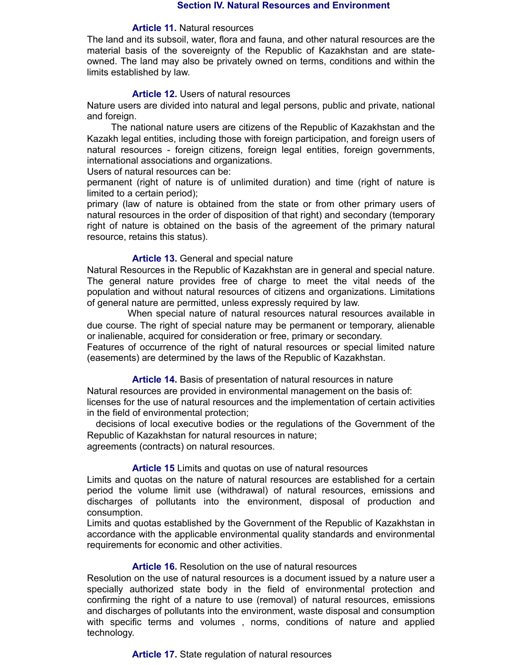#### **Section IV. Natural Resources and Environment**

#### **Article 11.** Natural resources

The land and its subsoil, water, flora and fauna, and other natural resources are the material basis of the sovereignty of the Republic of Kazakhstan and are stateowned. The land may also be privately owned on terms, conditions and within the limits established by law.

#### **Article 12.** Users of natural resources

Nature users are divided into natural and legal persons, public and private, national and foreign.

 The national nature users are citizens of the Republic of Kazakhstan and the Kazakh legal entities, including those with foreign participation, and foreign users of natural resources - foreign citizens, foreign legal entities, foreign governments, international associations and organizations.

Users of natural resources can be:

permanent (right of nature is of unlimited duration) and time (right of nature is limited to a certain period);

primary (law of nature is obtained from the state or from other primary users of natural resources in the order of disposition of that right) and secondary (temporary right of nature is obtained on the basis of the agreement of the primary natural resource, retains this status).

#### **Article 13.** General and special nature

Natural Resources in the Republic of Kazakhstan are in general and special nature. The general nature provides free of charge to meet the vital needs of the population and without natural resources of citizens and organizations. Limitations of general nature are permitted, unless expressly required by law.

 When special nature of natural resources natural resources available in due course. The right of special nature may be permanent or temporary, alienable or inalienable, acquired for consideration or free, primary or secondary. Features of occurrence of the right of natural resources or special limited nature

(easements) are determined by the laws of the Republic of Kazakhstan.

**Article 14.** Basis of presentation of natural resources in nature

Natural resources are provided in environmental management on the basis of: licenses for the use of natural resources and the implementation of certain activities in the field of environmental protection;

decisions of local executive bodies or the regulations of the Government of the Republic of Kazakhstan for natural resources in nature; agreements (contracts) on natural resources.

#### **Article 15** Limits and quotas on use of natural resources

Limits and quotas on the nature of natural resources are established for a certain period the volume limit use (withdrawal) of natural resources, emissions and discharges of pollutants into the environment, disposal of production and consumption.

Limits and quotas established by the Government of the Republic of Kazakhstan in accordance with the applicable environmental quality standards and environmental requirements for economic and other activities.

#### **Article 16.** Resolution on the use of natural resources

Resolution on the use of natural resources is a document issued by a nature user a specially authorized state body in the field of environmental protection and confirming the right of a nature to use (removal) of natural resources, emissions and discharges of pollutants into the environment, waste disposal and consumption with specific terms and volumes , norms, conditions of nature and applied technology.

#### **Article 17.** State regulation of natural resources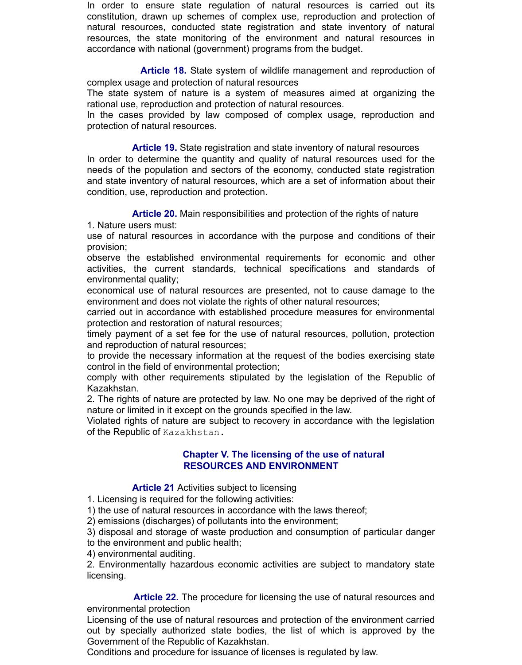In order to ensure state regulation of natural resources is carried out its constitution, drawn up schemes of complex use, reproduction and protection of natural resources, conducted state registration and state inventory of natural resources, the state monitoring of the environment and natural resources in accordance with national (government) programs from the budget.

 **Article 18.** State system of wildlife management and reproduction of complex usage and protection of natural resources

The state system of nature is a system of measures aimed at organizing the rational use, reproduction and protection of natural resources.

In the cases provided by law composed of complex usage, reproduction and protection of natural resources.

 **Article 19.** State registration and state inventory of natural resources In order to determine the quantity and quality of natural resources used for the needs of the population and sectors of the economy, conducted state registration and state inventory of natural resources, which are a set of information about their condition, use, reproduction and protection.

**Article 20.** Main responsibilities and protection of the rights of nature

1. Nature users must:

use of natural resources in accordance with the purpose and conditions of their provision;

observe the established environmental requirements for economic and other activities, the current standards, technical specifications and standards of environmental quality;

economical use of natural resources are presented, not to cause damage to the environment and does not violate the rights of other natural resources;

carried out in accordance with established procedure measures for environmental protection and restoration of natural resources;

timely payment of a set fee for the use of natural resources, pollution, protection and reproduction of natural resources;

to provide the necessary information at the request of the bodies exercising state control in the field of environmental protection;

comply with other requirements stipulated by the legislation of the Republic of Kazakhstan.

2. The rights of nature are protected by law. No one may be deprived of the right of nature or limited in it except on the grounds specified in the law.

Violated rights of nature are subject to recovery in accordance with the legislation of the Republic of Kazakhstan.

# **Chapter V. The licensing of the use of natural RESOURCES AND ENVIRONMENT**

# **Article 21** Activities subject to licensing

1. Licensing is required for the following activities:

1) the use of natural resources in accordance with the laws thereof;

2) emissions (discharges) of pollutants into the environment;

3) disposal and storage of waste production and consumption of particular danger to the environment and public health;

4) environmental auditing.

2. Environmentally hazardous economic activities are subject to mandatory state licensing.

 **Article 22.** The procedure for licensing the use of natural resources and environmental protection

Licensing of the use of natural resources and protection of the environment carried out by specially authorized state bodies, the list of which is approved by the Government of the Republic of Kazakhstan.

Conditions and procedure for issuance of licenses is regulated by law.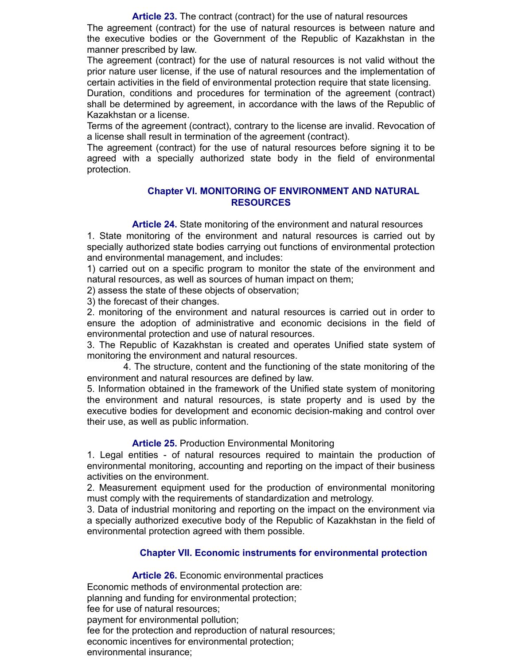**Article 23.** The contract (contract) for the use of natural resources The agreement (contract) for the use of natural resources is between nature and the executive bodies or the Government of the Republic of Kazakhstan in the manner prescribed by law.

The agreement (contract) for the use of natural resources is not valid without the prior nature user license, if the use of natural resources and the implementation of certain activities in the field of environmental protection require that state licensing.

Duration, conditions and procedures for termination of the agreement (contract) shall be determined by agreement, in accordance with the laws of the Republic of Kazakhstan or a license.

Terms of the agreement (contract), contrary to the license are invalid. Revocation of a license shall result in termination of the agreement (contract).

The agreement (contract) for the use of natural resources before signing it to be agreed with a specially authorized state body in the field of environmental protection.

# **Chapter VI. MONITORING OF ENVIRONMENT AND NATURAL RESOURCES**

**Article 24.** State monitoring of the environment and natural resources

1. State monitoring of the environment and natural resources is carried out by specially authorized state bodies carrying out functions of environmental protection and environmental management, and includes:

1) carried out on a specific program to monitor the state of the environment and natural resources, as well as sources of human impact on them;

2) assess the state of these objects of observation;

3) the forecast of their changes.

2. monitoring of the environment and natural resources is carried out in order to ensure the adoption of administrative and economic decisions in the field of environmental protection and use of natural resources.

3. The Republic of Kazakhstan is created and operates Unified state system of monitoring the environment and natural resources.

 4. The structure, content and the functioning of the state monitoring of the environment and natural resources are defined by law.

5. Information obtained in the framework of the Unified state system of monitoring the environment and natural resources, is state property and is used by the executive bodies for development and economic decision-making and control over their use, as well as public information.

# **Article 25.** Production Environmental Monitoring

1. Legal entities - of natural resources required to maintain the production of environmental monitoring, accounting and reporting on the impact of their business activities on the environment.

2. Measurement equipment used for the production of environmental monitoring must comply with the requirements of standardization and metrology.

3. Data of industrial monitoring and reporting on the impact on the environment via a specially authorized executive body of the Republic of Kazakhstan in the field of environmental protection agreed with them possible.

# **Chapter VII. Economic instruments for environmental protection**

**Article 26.** Economic environmental practices

Economic methods of environmental protection are: planning and funding for environmental protection; fee for use of natural resources; payment for environmental pollution; fee for the protection and reproduction of natural resources; economic incentives for environmental protection; environmental insurance;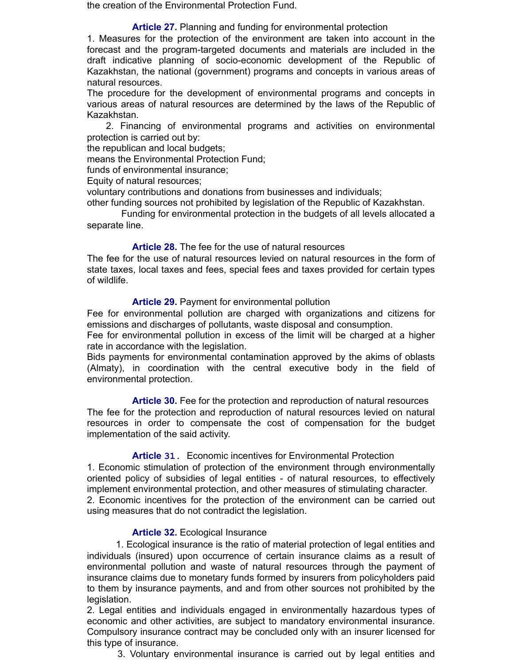the creation of the Environmental Protection Fund.

# **Article 27.** Planning and funding for environmental protection

1. Measures for the protection of the environment are taken into account in the forecast and the program-targeted documents and materials are included in the draft indicative planning of socio-economic development of the Republic of Kazakhstan, the national (government) programs and concepts in various areas of natural resources.

The procedure for the development of environmental programs and concepts in various areas of natural resources are determined by the laws of the Republic of Kazakhstan.

 2. Financing of environmental programs and activities on environmental protection is carried out by:

the republican and local budgets;

means the Environmental Protection Fund;

funds of environmental insurance;

Equity of natural resources;

voluntary contributions and donations from businesses and individuals;

other funding sources not prohibited by legislation of the Republic of Kazakhstan.

 Funding for environmental protection in the budgets of all levels allocated a separate line.

### **Article 28.** The fee for the use of natural resources

The fee for the use of natural resources levied on natural resources in the form of state taxes, local taxes and fees, special fees and taxes provided for certain types of wildlife.

### **Article 29.** Payment for environmental pollution

Fee for environmental pollution are charged with organizations and citizens for emissions and discharges of pollutants, waste disposal and consumption.

Fee for environmental pollution in excess of the limit will be charged at a higher rate in accordance with the legislation.

Bids payments for environmental contamination approved by the akims of oblasts (Almaty), in coordination with the central executive body in the field of environmental protection.

 **Article 30.** Fee for the protection and reproduction of natural resources The fee for the protection and reproduction of natural resources levied on natural resources in order to compensate the cost of compensation for the budget implementation of the said activity.

# **Article 31.** Economic incentives for Environmental Protection

1. Economic stimulation of protection of the environment through environmentally oriented policy of subsidies of legal entities - of natural resources, to effectively implement environmental protection, and other measures of stimulating character. 2. Economic incentives for the protection of the environment can be carried out using measures that do not contradict the legislation.

# **Article 32.** Ecological Insurance

 1. Ecological insurance is the ratio of material protection of legal entities and individuals (insured) upon occurrence of certain insurance claims as a result of environmental pollution and waste of natural resources through the payment of insurance claims due to monetary funds formed by insurers from policyholders paid to them by insurance payments, and and from other sources not prohibited by the legislation.

2. Legal entities and individuals engaged in environmentally hazardous types of economic and other activities, are subject to mandatory environmental insurance. Compulsory insurance contract may be concluded only with an insurer licensed for this type of insurance.

3. Voluntary environmental insurance is carried out by legal entities and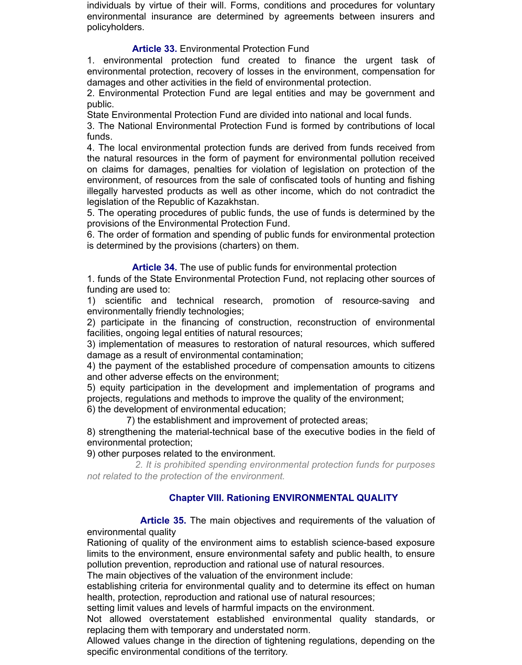individuals by virtue of their will. Forms, conditions and procedures for voluntary environmental insurance are determined by agreements between insurers and policyholders.

# **Article 33.** Environmental Protection Fund

1. environmental protection fund created to finance the urgent task of environmental protection, recovery of losses in the environment, compensation for damages and other activities in the field of environmental protection.

2. Environmental Protection Fund are legal entities and may be government and public.

State Environmental Protection Fund are divided into national and local funds.

3. The National Environmental Protection Fund is formed by contributions of local funds.

4. The local environmental protection funds are derived from funds received from the natural resources in the form of payment for environmental pollution received on claims for damages, penalties for violation of legislation on protection of the environment, of resources from the sale of confiscated tools of hunting and fishing illegally harvested products as well as other income, which do not contradict the legislation of the Republic of Kazakhstan.

5. The operating procedures of public funds, the use of funds is determined by the provisions of the Environmental Protection Fund.

6. The order of formation and spending of public funds for environmental protection is determined by the provisions (charters) on them.

**Article 34.** The use of public funds for environmental protection

1. funds of the State Environmental Protection Fund, not replacing other sources of funding are used to:

1) scientific and technical research, promotion of resource-saving and environmentally friendly technologies;

2) participate in the financing of construction, reconstruction of environmental facilities, ongoing legal entities of natural resources;

3) implementation of measures to restoration of natural resources, which suffered damage as a result of environmental contamination;

4) the payment of the established procedure of compensation amounts to citizens and other adverse effects on the environment;

5) equity participation in the development and implementation of programs and projects, regulations and methods to improve the quality of the environment;

6) the development of environmental education;

7) the establishment and improvement of protected areas;

8) strengthening the material-technical base of the executive bodies in the field of environmental protection;

9) other purposes related to the environment.

 *2. It is prohibited spending environmental protection funds for purposes not related to the protection of the environment.*

# **Chapter VIII. Rationing ENVIRONMENTAL QUALITY**

 **Article 35.** The main objectives and requirements of the valuation of environmental quality

Rationing of quality of the environment aims to establish science-based exposure limits to the environment, ensure environmental safety and public health, to ensure pollution prevention, reproduction and rational use of natural resources.

The main objectives of the valuation of the environment include:

establishing criteria for environmental quality and to determine its effect on human health, protection, reproduction and rational use of natural resources;

setting limit values and levels of harmful impacts on the environment.

Not allowed overstatement established environmental quality standards, or replacing them with temporary and understated norm.

Allowed values change in the direction of tightening regulations, depending on the specific environmental conditions of the territory.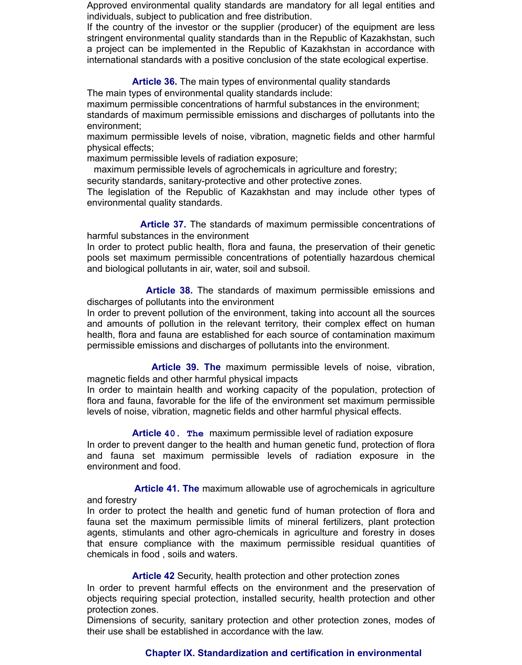Approved environmental quality standards are mandatory for all legal entities and individuals, subject to publication and free distribution.

If the country of the investor or the supplier (producer) of the equipment are less stringent environmental quality standards than in the Republic of Kazakhstan, such a project can be implemented in the Republic of Kazakhstan in accordance with international standards with a positive conclusion of the state ecological expertise.

**Article 36.** The main types of environmental quality standards

The main types of environmental quality standards include:

maximum permissible concentrations of harmful substances in the environment; standards of maximum permissible emissions and discharges of pollutants into the environment;

maximum permissible levels of noise, vibration, magnetic fields and other harmful physical effects;

maximum permissible levels of radiation exposure;

maximum permissible levels of agrochemicals in agriculture and forestry;

security standards, sanitary-protective and other protective zones.

The legislation of the Republic of Kazakhstan and may include other types of environmental quality standards.

 **Article 37.** The standards of maximum permissible concentrations of harmful substances in the environment

In order to protect public health, flora and fauna, the preservation of their genetic pools set maximum permissible concentrations of potentially hazardous chemical and biological pollutants in air, water, soil and subsoil.

 **Article 38.** The standards of maximum permissible emissions and discharges of pollutants into the environment

In order to prevent pollution of the environment, taking into account all the sources and amounts of pollution in the relevant territory, their complex effect on human health, flora and fauna are established for each source of contamination maximum permissible emissions and discharges of pollutants into the environment.

 **Article 39. The** maximum permissible levels of noise, vibration, magnetic fields and other harmful physical impacts

In order to maintain health and working capacity of the population, protection of flora and fauna, favorable for the life of the environment set maximum permissible levels of noise, vibration, magnetic fields and other harmful physical effects.

 **Article 40. The** maximum permissible level of radiation exposure In order to prevent danger to the health and human genetic fund, protection of flora and fauna set maximum permissible levels of radiation exposure in the environment and food.

 **Article 41. The** maximum allowable use of agrochemicals in agriculture and forestry

In order to protect the health and genetic fund of human protection of flora and fauna set the maximum permissible limits of mineral fertilizers, plant protection agents, stimulants and other agro-chemicals in agriculture and forestry in doses that ensure compliance with the maximum permissible residual quantities of chemicals in food , soils and waters.

**Article 42** Security, health protection and other protection zones

In order to prevent harmful effects on the environment and the preservation of objects requiring special protection, installed security, health protection and other protection zones.

Dimensions of security, sanitary protection and other protection zones, modes of their use shall be established in accordance with the law.

# **Chapter IX. Standardization and certification in environmental**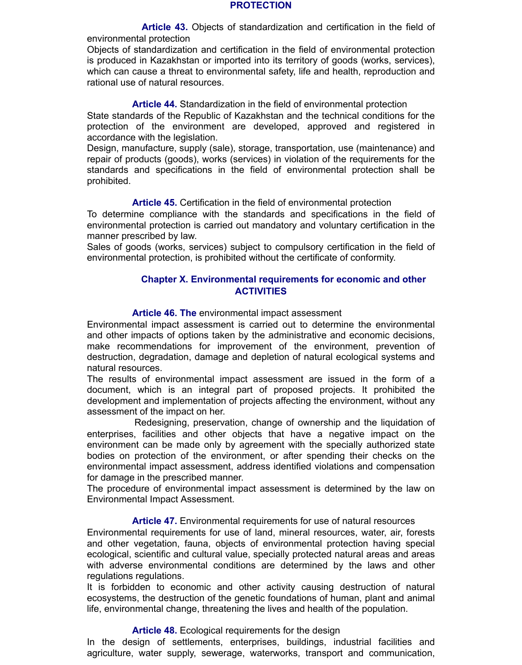#### **PROTECTION**

 **Article 43.** Objects of standardization and certification in the field of environmental protection

Objects of standardization and certification in the field of environmental protection is produced in Kazakhstan or imported into its territory of goods (works, services), which can cause a threat to environmental safety, life and health, reproduction and rational use of natural resources.

#### **Article 44.** Standardization in the field of environmental protection

State standards of the Republic of Kazakhstan and the technical conditions for the protection of the environment are developed, approved and registered in accordance with the legislation.

Design, manufacture, supply (sale), storage, transportation, use (maintenance) and repair of products (goods), works (services) in violation of the requirements for the standards and specifications in the field of environmental protection shall be prohibited.

#### **Article 45.** Certification in the field of environmental protection

To determine compliance with the standards and specifications in the field of environmental protection is carried out mandatory and voluntary certification in the manner prescribed by law.

Sales of goods (works, services) subject to compulsory certification in the field of environmental protection, is prohibited without the certificate of conformity.

### **Chapter X. Environmental requirements for economic and other ACTIVITIES**

#### **Article 46. The** environmental impact assessment

Environmental impact assessment is carried out to determine the environmental and other impacts of options taken by the administrative and economic decisions, make recommendations for improvement of the environment, prevention of destruction, degradation, damage and depletion of natural ecological systems and natural resources.

The results of environmental impact assessment are issued in the form of a document, which is an integral part of proposed projects. It prohibited the development and implementation of projects affecting the environment, without any assessment of the impact on her.

 Redesigning, preservation, change of ownership and the liquidation of enterprises, facilities and other objects that have a negative impact on the environment can be made only by agreement with the specially authorized state bodies on protection of the environment, or after spending their checks on the environmental impact assessment, address identified violations and compensation for damage in the prescribed manner.

The procedure of environmental impact assessment is determined by the law on Environmental Impact Assessment.

#### **Article 47.** Environmental requirements for use of natural resources

Environmental requirements for use of land, mineral resources, water, air, forests and other vegetation, fauna, objects of environmental protection having special ecological, scientific and cultural value, specially protected natural areas and areas with adverse environmental conditions are determined by the laws and other regulations regulations.

It is forbidden to economic and other activity causing destruction of natural ecosystems, the destruction of the genetic foundations of human, plant and animal life, environmental change, threatening the lives and health of the population.

#### **Article 48.** Ecological requirements for the design

In the design of settlements, enterprises, buildings, industrial facilities and agriculture, water supply, sewerage, waterworks, transport and communication,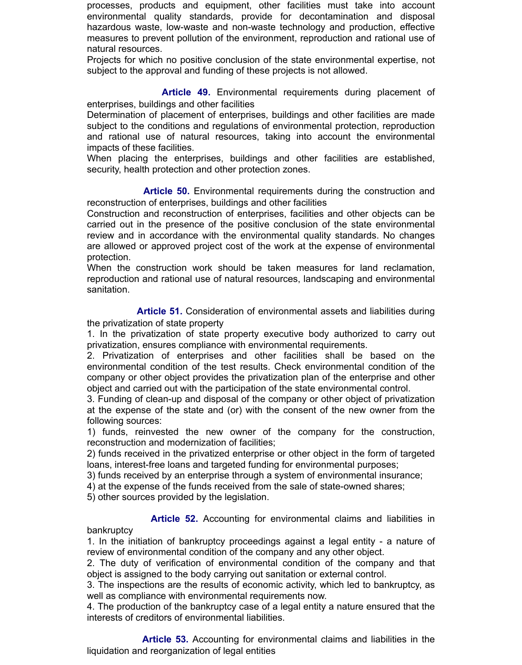processes, products and equipment, other facilities must take into account environmental quality standards, provide for decontamination and disposal hazardous waste, low-waste and non-waste technology and production, effective measures to prevent pollution of the environment, reproduction and rational use of natural resources.

Projects for which no positive conclusion of the state environmental expertise, not subject to the approval and funding of these projects is not allowed.

 **Article 49.** Environmental requirements during placement of enterprises, buildings and other facilities

Determination of placement of enterprises, buildings and other facilities are made subject to the conditions and regulations of environmental protection, reproduction and rational use of natural resources, taking into account the environmental impacts of these facilities.

When placing the enterprises, buildings and other facilities are established, security, health protection and other protection zones.

 **Article 50.** Environmental requirements during the construction and reconstruction of enterprises, buildings and other facilities

Construction and reconstruction of enterprises, facilities and other objects can be carried out in the presence of the positive conclusion of the state environmental review and in accordance with the environmental quality standards. No changes are allowed or approved project cost of the work at the expense of environmental protection.

When the construction work should be taken measures for land reclamation, reproduction and rational use of natural resources, landscaping and environmental sanitation.

 **Article 51.** Consideration of environmental assets and liabilities during the privatization of state property

1. In the privatization of state property executive body authorized to carry out privatization, ensures compliance with environmental requirements.

2. Privatization of enterprises and other facilities shall be based on the environmental condition of the test results. Check environmental condition of the company or other object provides the privatization plan of the enterprise and other object and carried out with the participation of the state environmental control.

3. Funding of clean-up and disposal of the company or other object of privatization at the expense of the state and (or) with the consent of the new owner from the following sources:

1) funds, reinvested the new owner of the company for the construction, reconstruction and modernization of facilities;

2) funds received in the privatized enterprise or other object in the form of targeted loans, interest-free loans and targeted funding for environmental purposes;

3) funds received by an enterprise through a system of environmental insurance;

4) at the expense of the funds received from the sale of state-owned shares;

5) other sources provided by the legislation.

bankruptcy

**Article 52.** Accounting for environmental claims and liabilities in

1. In the initiation of bankruptcy proceedings against a legal entity - a nature of review of environmental condition of the company and any other object.

2. The duty of verification of environmental condition of the company and that object is assigned to the body carrying out sanitation or external control.

3. The inspections are the results of economic activity, which led to bankruptcy, as well as compliance with environmental requirements now.

4. The production of the bankruptcy case of a legal entity a nature ensured that the interests of creditors of environmental liabilities.

 **Article 53.** Accounting for environmental claims and liabilities in the liquidation and reorganization of legal entities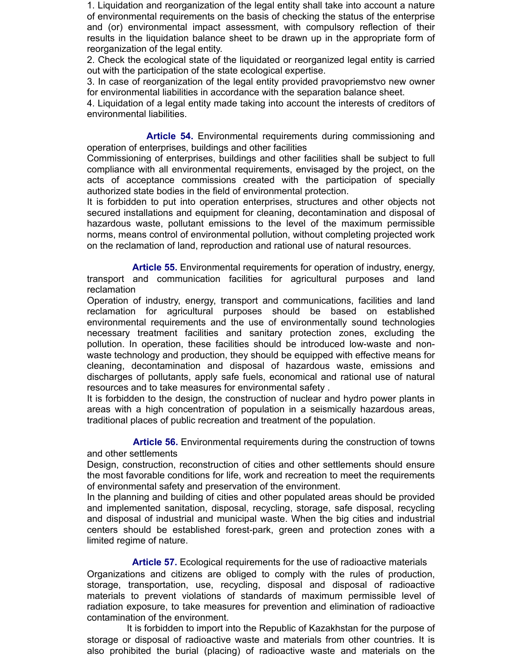1. Liquidation and reorganization of the legal entity shall take into account a nature of environmental requirements on the basis of checking the status of the enterprise and (or) environmental impact assessment, with compulsory reflection of their results in the liquidation balance sheet to be drawn up in the appropriate form of reorganization of the legal entity.

2. Check the ecological state of the liquidated or reorganized legal entity is carried out with the participation of the state ecological expertise.

3. In case of reorganization of the legal entity provided pravopriemstvo new owner for environmental liabilities in accordance with the separation balance sheet.

4. Liquidation of a legal entity made taking into account the interests of creditors of environmental liabilities.

 **Article 54.** Environmental requirements during commissioning and operation of enterprises, buildings and other facilities

Commissioning of enterprises, buildings and other facilities shall be subject to full compliance with all environmental requirements, envisaged by the project, on the acts of acceptance commissions created with the participation of specially authorized state bodies in the field of environmental protection.

It is forbidden to put into operation enterprises, structures and other objects not secured installations and equipment for cleaning, decontamination and disposal of hazardous waste, pollutant emissions to the level of the maximum permissible norms, means control of environmental pollution, without completing projected work on the reclamation of land, reproduction and rational use of natural resources.

 **Article 55.** Environmental requirements for operation of industry, energy, transport and communication facilities for agricultural purposes and land reclamation

Operation of industry, energy, transport and communications, facilities and land reclamation for agricultural purposes should be based on established environmental requirements and the use of environmentally sound technologies necessary treatment facilities and sanitary protection zones, excluding the pollution. In operation, these facilities should be introduced low-waste and nonwaste technology and production, they should be equipped with effective means for cleaning, decontamination and disposal of hazardous waste, emissions and discharges of pollutants, apply safe fuels, economical and rational use of natural resources and to take measures for environmental safety .

It is forbidden to the design, the construction of nuclear and hydro power plants in areas with a high concentration of population in a seismically hazardous areas, traditional places of public recreation and treatment of the population.

 **Article 56.** Environmental requirements during the construction of towns and other settlements

Design, construction, reconstruction of cities and other settlements should ensure the most favorable conditions for life, work and recreation to meet the requirements of environmental safety and preservation of the environment.

In the planning and building of cities and other populated areas should be provided and implemented sanitation, disposal, recycling, storage, safe disposal, recycling and disposal of industrial and municipal waste. When the big cities and industrial centers should be established forest-park, green and protection zones with a limited regime of nature.

 **Article 57.** Ecological requirements for the use of radioactive materials Organizations and citizens are obliged to comply with the rules of production, storage, transportation, use, recycling, disposal and disposal of radioactive materials to prevent violations of standards of maximum permissible level of radiation exposure, to take measures for prevention and elimination of radioactive contamination of the environment.

 It is forbidden to import into the Republic of Kazakhstan for the purpose of storage or disposal of radioactive waste and materials from other countries. It is also prohibited the burial (placing) of radioactive waste and materials on the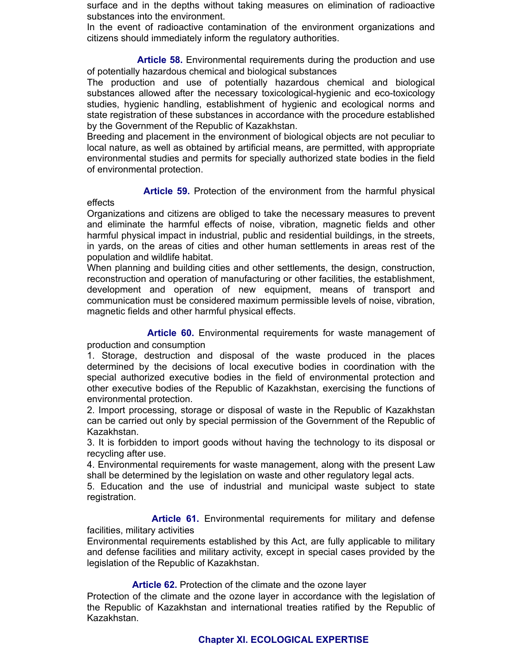surface and in the depths without taking measures on elimination of radioactive substances into the environment.

In the event of radioactive contamination of the environment organizations and citizens should immediately inform the regulatory authorities.

 **Article 58.** Environmental requirements during the production and use of potentially hazardous chemical and biological substances

The production and use of potentially hazardous chemical and biological substances allowed after the necessary toxicological-hygienic and eco-toxicology studies, hygienic handling, establishment of hygienic and ecological norms and state registration of these substances in accordance with the procedure established by the Government of the Republic of Kazakhstan.

Breeding and placement in the environment of biological objects are not peculiar to local nature, as well as obtained by artificial means, are permitted, with appropriate environmental studies and permits for specially authorized state bodies in the field of environmental protection.

# **Article 59.** Protection of the environment from the harmful physical

# effects

Organizations and citizens are obliged to take the necessary measures to prevent and eliminate the harmful effects of noise, vibration, magnetic fields and other harmful physical impact in industrial, public and residential buildings, in the streets, in yards, on the areas of cities and other human settlements in areas rest of the population and wildlife habitat.

When planning and building cities and other settlements, the design, construction, reconstruction and operation of manufacturing or other facilities, the establishment, development and operation of new equipment, means of transport and communication must be considered maximum permissible levels of noise, vibration, magnetic fields and other harmful physical effects.

 **Article 60.** Environmental requirements for waste management of production and consumption

1. Storage, destruction and disposal of the waste produced in the places determined by the decisions of local executive bodies in coordination with the special authorized executive bodies in the field of environmental protection and other executive bodies of the Republic of Kazakhstan, exercising the functions of environmental protection.

2. Import processing, storage or disposal of waste in the Republic of Kazakhstan can be carried out only by special permission of the Government of the Republic of Kazakhstan.

3. It is forbidden to import goods without having the technology to its disposal or recycling after use.

4. Environmental requirements for waste management, along with the present Law shall be determined by the legislation on waste and other regulatory legal acts.

5. Education and the use of industrial and municipal waste subject to state registration.

 **Article 61.** Environmental requirements for military and defense facilities, military activities

Environmental requirements established by this Act, are fully applicable to military and defense facilities and military activity, except in special cases provided by the legislation of the Republic of Kazakhstan.

**Article 62.** Protection of the climate and the ozone layer

Protection of the climate and the ozone layer in accordance with the legislation of the Republic of Kazakhstan and international treaties ratified by the Republic of Kazakhstan.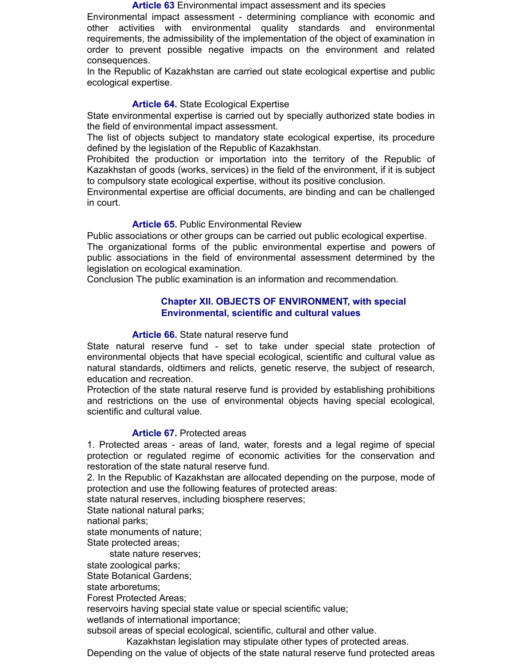#### **Article 63** Environmental impact assessment and its species

Environmental impact assessment - determining compliance with economic and other activities with environmental quality standards and environmental requirements, the admissibility of the implementation of the object of examination in order to prevent possible negative impacts on the environment and related consequences.

In the Republic of Kazakhstan are carried out state ecological expertise and public ecological expertise.

# **Article 64.** State Ecological Expertise

State environmental expertise is carried out by specially authorized state bodies in the field of environmental impact assessment.

The list of objects subject to mandatory state ecological expertise, its procedure defined by the legislation of the Republic of Kazakhstan.

Prohibited the production or importation into the territory of the Republic of Kazakhstan of goods (works, services) in the field of the environment, if it is subject to compulsory state ecological expertise, without its positive conclusion.

Environmental expertise are official documents, are binding and can be challenged in court.

### **Article 65.** Public Environmental Review

Public associations or other groups can be carried out public ecological expertise. The organizational forms of the public environmental expertise and powers of public associations in the field of environmental assessment determined by the legislation on ecological examination.

Conclusion The public examination is an information and recommendation.

### **Chapter XII. OBJECTS OF ENVIRONMENT, with special Environmental, scientific and cultural values**

# **Article 66.** State natural reserve fund

State natural reserve fund - set to take under special state protection of environmental objects that have special ecological, scientific and cultural value as natural standards, oldtimers and relicts, genetic reserve, the subject of research, education and recreation.

Protection of the state natural reserve fund is provided by establishing prohibitions and restrictions on the use of environmental objects having special ecological, scientific and cultural value.

# **Article 67.** Protected areas

1. Protected areas - areas of land, water, forests and a legal regime of special protection or regulated regime of economic activities for the conservation and restoration of the state natural reserve fund.

2. In the Republic of Kazakhstan are allocated depending on the purpose, mode of protection and use the following features of protected areas:

state natural reserves, including biosphere reserves;

State national natural parks;

national parks;

state monuments of nature;

State protected areas;

state nature reserves;

state zoological parks;

State Botanical Gardens;

state arboretums;

Forest Protected Areas;

reservoirs having special state value or special scientific value;

wetlands of international importance;

subsoil areas of special ecological, scientific, cultural and other value.

Kazakhstan legislation may stipulate other types of protected areas.

Depending on the value of objects of the state natural reserve fund protected areas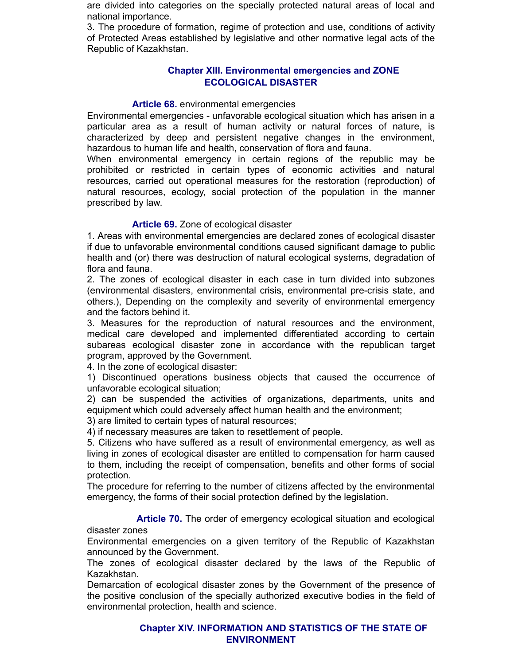are divided into categories on the specially protected natural areas of local and national importance.

3. The procedure of formation, regime of protection and use, conditions of activity of Protected Areas established by legislative and other normative legal acts of the Republic of Kazakhstan.

# **Chapter XIII. Environmental emergencies and ZONE ECOLOGICAL DISASTER**

# **Article 68.** environmental emergencies

Environmental emergencies - unfavorable ecological situation which has arisen in a particular area as a result of human activity or natural forces of nature, is characterized by deep and persistent negative changes in the environment, hazardous to human life and health, conservation of flora and fauna.

When environmental emergency in certain regions of the republic may be prohibited or restricted in certain types of economic activities and natural resources, carried out operational measures for the restoration (reproduction) of natural resources, ecology, social protection of the population in the manner prescribed by law.

# **Article 69.** Zone of ecological disaster

1. Areas with environmental emergencies are declared zones of ecological disaster if due to unfavorable environmental conditions caused significant damage to public health and (or) there was destruction of natural ecological systems, degradation of flora and fauna.

2. The zones of ecological disaster in each case in turn divided into subzones (environmental disasters, environmental crisis, environmental pre-crisis state, and others.), Depending on the complexity and severity of environmental emergency and the factors behind it.

3. Measures for the reproduction of natural resources and the environment, medical care developed and implemented differentiated according to certain subareas ecological disaster zone in accordance with the republican target program, approved by the Government.

4. In the zone of ecological disaster:

1) Discontinued operations business objects that caused the occurrence of unfavorable ecological situation;

2) can be suspended the activities of organizations, departments, units and equipment which could adversely affect human health and the environment;

3) are limited to certain types of natural resources;

4) if necessary measures are taken to resettlement of people.

5. Citizens who have suffered as a result of environmental emergency, as well as living in zones of ecological disaster are entitled to compensation for harm caused to them, including the receipt of compensation, benefits and other forms of social protection.

The procedure for referring to the number of citizens affected by the environmental emergency, the forms of their social protection defined by the legislation.

**Article 70.** The order of emergency ecological situation and ecological

disaster zones

Environmental emergencies on a given territory of the Republic of Kazakhstan announced by the Government.

The zones of ecological disaster declared by the laws of the Republic of Kazakhstan.

Demarcation of ecological disaster zones by the Government of the presence of the positive conclusion of the specially authorized executive bodies in the field of environmental protection, health and science.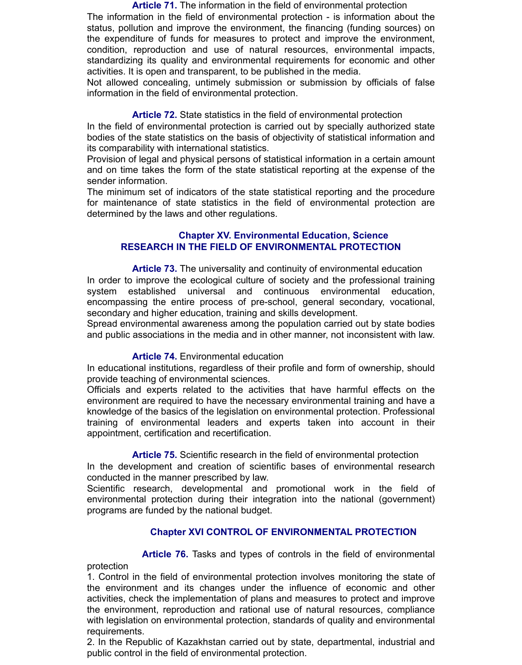**Article 71.** The information in the field of environmental protection The information in the field of environmental protection - is information about the status, pollution and improve the environment, the financing (funding sources) on the expenditure of funds for measures to protect and improve the environment, condition, reproduction and use of natural resources, environmental impacts, standardizing its quality and environmental requirements for economic and other activities. It is open and transparent, to be published in the media.

Not allowed concealing, untimely submission or submission by officials of false information in the field of environmental protection.

**Article 72.** State statistics in the field of environmental protection

In the field of environmental protection is carried out by specially authorized state bodies of the state statistics on the basis of objectivity of statistical information and its comparability with international statistics.

Provision of legal and physical persons of statistical information in a certain amount and on time takes the form of the state statistical reporting at the expense of the sender information.

The minimum set of indicators of the state statistical reporting and the procedure for maintenance of state statistics in the field of environmental protection are determined by the laws and other regulations.

# **Chapter XV. Environmental Education, Science RESEARCH IN THE FIELD OF ENVIRONMENTAL PROTECTION**

 **Article 73.** The universality and continuity of environmental education In order to improve the ecological culture of society and the professional training system established universal and continuous environmental education, encompassing the entire process of pre-school, general secondary, vocational, secondary and higher education, training and skills development.

Spread environmental awareness among the population carried out by state bodies and public associations in the media and in other manner, not inconsistent with law.

# **Article 74.** Environmental education

In educational institutions, regardless of their profile and form of ownership, should provide teaching of environmental sciences.

Officials and experts related to the activities that have harmful effects on the environment are required to have the necessary environmental training and have a knowledge of the basics of the legislation on environmental protection. Professional training of environmental leaders and experts taken into account in their appointment, certification and recertification.

**Article 75.** Scientific research in the field of environmental protection

In the development and creation of scientific bases of environmental research conducted in the manner prescribed by law.

Scientific research, developmental and promotional work in the field of environmental protection during their integration into the national (government) programs are funded by the national budget.

# **Chapter XVI CONTROL OF ENVIRONMENTAL PROTECTION**

 **Article 76.** Tasks and types of controls in the field of environmental protection

1. Control in the field of environmental protection involves monitoring the state of the environment and its changes under the influence of economic and other activities, check the implementation of plans and measures to protect and improve the environment, reproduction and rational use of natural resources, compliance with legislation on environmental protection, standards of quality and environmental requirements.

2. In the Republic of Kazakhstan carried out by state, departmental, industrial and public control in the field of environmental protection.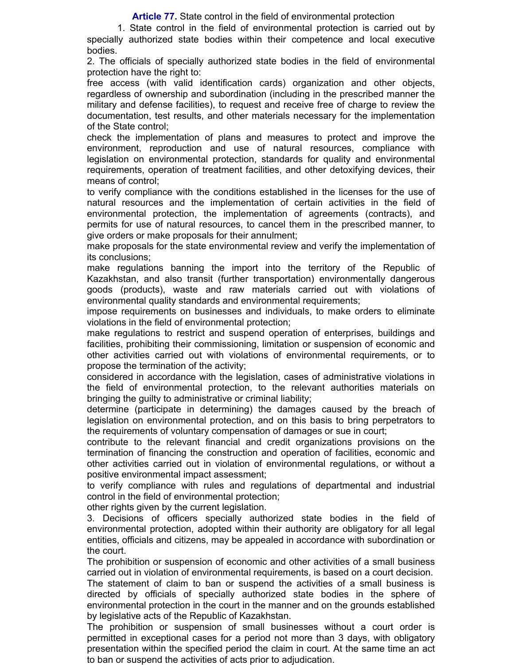**Article 77.** State control in the field of environmental protection

 1. State control in the field of environmental protection is carried out by specially authorized state bodies within their competence and local executive bodies.

2. The officials of specially authorized state bodies in the field of environmental protection have the right to:

free access (with valid identification cards) organization and other objects, regardless of ownership and subordination (including in the prescribed manner the military and defense facilities), to request and receive free of charge to review the documentation, test results, and other materials necessary for the implementation of the State control;

check the implementation of plans and measures to protect and improve the environment, reproduction and use of natural resources, compliance with legislation on environmental protection, standards for quality and environmental requirements, operation of treatment facilities, and other detoxifying devices, their means of control;

to verify compliance with the conditions established in the licenses for the use of natural resources and the implementation of certain activities in the field of environmental protection, the implementation of agreements (contracts), and permits for use of natural resources, to cancel them in the prescribed manner, to give orders or make proposals for their annulment;

make proposals for the state environmental review and verify the implementation of its conclusions;

make regulations banning the import into the territory of the Republic of Kazakhstan, and also transit (further transportation) environmentally dangerous goods (products), waste and raw materials carried out with violations of environmental quality standards and environmental requirements;

impose requirements on businesses and individuals, to make orders to eliminate violations in the field of environmental protection;

make regulations to restrict and suspend operation of enterprises, buildings and facilities, prohibiting their commissioning, limitation or suspension of economic and other activities carried out with violations of environmental requirements, or to propose the termination of the activity;

considered in accordance with the legislation, cases of administrative violations in the field of environmental protection, to the relevant authorities materials on bringing the guilty to administrative or criminal liability;

determine (participate in determining) the damages caused by the breach of legislation on environmental protection, and on this basis to bring perpetrators to the requirements of voluntary compensation of damages or sue in court;

contribute to the relevant financial and credit organizations provisions on the termination of financing the construction and operation of facilities, economic and other activities carried out in violation of environmental regulations, or without a positive environmental impact assessment;

to verify compliance with rules and regulations of departmental and industrial control in the field of environmental protection;

other rights given by the current legislation.

3. Decisions of officers specially authorized state bodies in the field of environmental protection, adopted within their authority are obligatory for all legal entities, officials and citizens, may be appealed in accordance with subordination or the court.

The prohibition or suspension of economic and other activities of a small business carried out in violation of environmental requirements, is based on a court decision.

The statement of claim to ban or suspend the activities of a small business is directed by officials of specially authorized state bodies in the sphere of environmental protection in the court in the manner and on the grounds established by legislative acts of the Republic of Kazakhstan.

The prohibition or suspension of small businesses without a court order is permitted in exceptional cases for a period not more than 3 days, with obligatory presentation within the specified period the claim in court. At the same time an act to ban or suspend the activities of acts prior to adjudication.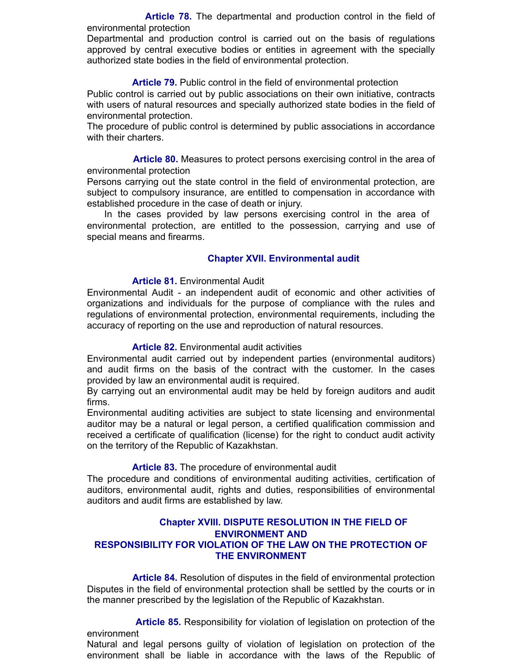**Article 78.** The departmental and production control in the field of environmental protection

Departmental and production control is carried out on the basis of regulations approved by central executive bodies or entities in agreement with the specially authorized state bodies in the field of environmental protection.

**Article 79.** Public control in the field of environmental protection

Public control is carried out by public associations on their own initiative, contracts with users of natural resources and specially authorized state bodies in the field of environmental protection.

The procedure of public control is determined by public associations in accordance with their charters.

 **Article 80.** Measures to protect persons exercising control in the area of environmental protection

Persons carrying out the state control in the field of environmental protection, are subject to compulsory insurance, are entitled to compensation in accordance with established procedure in the case of death or injury.

 In the cases provided by law persons exercising control in the area of environmental protection, are entitled to the possession, carrying and use of special means and firearms.

# **Chapter XVII. Environmental audit**

#### **Article 81.** Environmental Audit

Environmental Audit - an independent audit of economic and other activities of organizations and individuals for the purpose of compliance with the rules and regulations of environmental protection, environmental requirements, including the accuracy of reporting on the use and reproduction of natural resources.

#### **Article 82.** Environmental audit activities

Environmental audit carried out by independent parties (environmental auditors) and audit firms on the basis of the contract with the customer. In the cases provided by law an environmental audit is required.

By carrying out an environmental audit may be held by foreign auditors and audit firms.

Environmental auditing activities are subject to state licensing and environmental auditor may be a natural or legal person, a certified qualification commission and received a certificate of qualification (license) for the right to conduct audit activity on the territory of the Republic of Kazakhstan.

#### **Article 83.** The procedure of environmental audit

The procedure and conditions of environmental auditing activities, certification of auditors, environmental audit, rights and duties, responsibilities of environmental auditors and audit firms are established by law.

### **Chapter XVIII. DISPUTE RESOLUTION IN THE FIELD OF ENVIRONMENT AND RESPONSIBILITY FOR VIOLATION OF THE LAW ON THE PROTECTION OF THE ENVIRONMENT**

 **Article 84.** Resolution of disputes in the field of environmental protection Disputes in the field of environmental protection shall be settled by the courts or in the manner prescribed by the legislation of the Republic of Kazakhstan.

 **Article 85.** Responsibility for violation of legislation on protection of the environment

Natural and legal persons guilty of violation of legislation on protection of the environment shall be liable in accordance with the laws of the Republic of